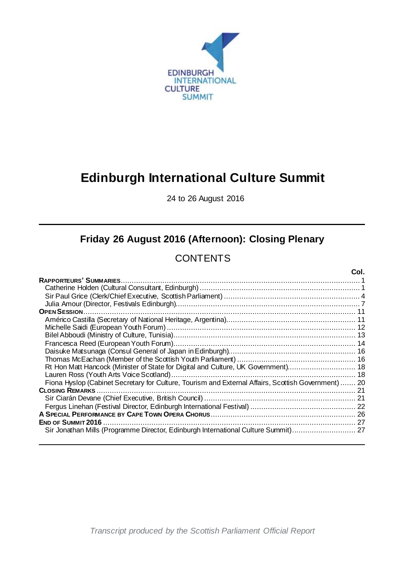

# **Edinburgh International Culture Summit**

24 to 26 August 2016

## **Friday 26 August 2016 (Afternoon): Closing Plenary**

## **CONTENTS**

|                                                                                                     | Col. |
|-----------------------------------------------------------------------------------------------------|------|
|                                                                                                     |      |
|                                                                                                     |      |
|                                                                                                     |      |
|                                                                                                     |      |
|                                                                                                     |      |
|                                                                                                     |      |
|                                                                                                     |      |
|                                                                                                     |      |
|                                                                                                     |      |
|                                                                                                     |      |
|                                                                                                     |      |
| Rt Hon Matt Hancock (Minister of State for Digital and Culture, UK Government) 18                   |      |
|                                                                                                     |      |
| Fiona Hyslop (Cabinet Secretary for Culture, Tourism and External Affairs, Scottish Government)  20 |      |
|                                                                                                     | -21  |
|                                                                                                     |      |
|                                                                                                     |      |
|                                                                                                     |      |
| <b>END OF SUMMIT 2016</b>                                                                           | 27   |
| Sir Jonathan Mills (Programme Director, Edinburgh International Culture Summit)                     | 27   |
|                                                                                                     |      |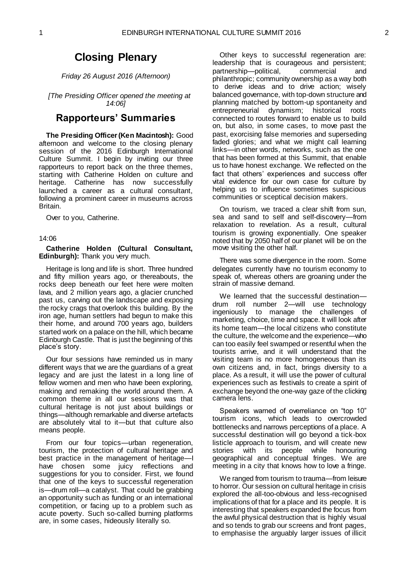## **Closing Plenary**

*Friday 26 August 2016 (Afternoon)*

*[The Presiding Officer opened the meeting at 14:06]*

### <span id="page-2-0"></span>**Rapporteurs' Summaries**

**The Presiding Officer (Ken Macintosh):** Good afternoon and welcome to the closing plenary session of the 2016 Edinburgh International Culture Summit. I begin by inviting our three rapporteurs to report back on the three themes, starting with Catherine Holden on culture and heritage. Catherine has now successfully launched a career as a cultural consultant, following a prominent career in museums across Britain.

Over to you, Catherine.

14:06

#### <span id="page-2-1"></span>**Catherine Holden (Cultural Consultant, Edinburgh):** Thank you very much.

Heritage is long and life is short. Three hundred and fifty million years ago, or thereabouts, the rocks deep beneath our feet here were molten lava, and 2 million years ago, a glacier crunched past us, carving out the landscape and exposing the rocky crags that overlook this building. By the iron age, human settlers had begun to make this their home, and around 700 years ago, builders started work on a palace on the hill, which became Edinburgh Castle. That is just the beginning of this place's story.

Our four sessions have reminded us in many different ways that we are the guardians of a great legacy and are just the latest in a long line of fellow women and men who have been exploring, making and remaking the world around them. A common theme in all our sessions was that cultural heritage is not just about buildings or things—although remarkable and diverse artefacts are absolutely vital to it—but that culture also means people.

From our four topics—urban regeneration, tourism, the protection of cultural heritage and best practice in the management of heritage—I have chosen some juicy reflections and suggestions for you to consider. First, we found that one of the keys to successful regeneration is—drum roll—a catalyst. That could be grabbing an opportunity such as funding or an international competition, or facing up to a problem such as acute poverty. Such so-called burning platforms are, in some cases, hideously literally so.

Other keys to successful regeneration are: leadership that is courageous and persistent; partnership—political, commercial philanthropic; community ownership as a way both to derive ideas and to drive action; wisely balanced governance, with top-down structure and planning matched by bottom-up spontaneity and entrepreneurial dynamism; historical roots connected to routes forward to enable us to build on, but also, in some cases, to move past the past, exorcising false memories and superseding faded glories; and what we might call learning links—in other words, networks, such as the one that has been formed at this Summit, that enable us to have honest exchange. We reflected on the fact that others' experiences and success offer vital evidence for our own case for culture by helping us to influence sometimes suspicious communities or sceptical decision makers.

On tourism, we traced a clear shift from sun, sea and sand to self and self-discovery—from relaxation to revelation. As a result, cultural tourism is growing exponentially. One speaker noted that by 2050 half of our planet will be on the move visiting the other half.

There was some divergence in the room. Some delegates currently have no tourism economy to speak of, whereas others are groaning under the strain of massive demand.

We learned that the successful destination drum roll number 2—will use technology ingeniously to manage the challenges of marketing, choice, time and space. It will look after its home team—the local citizens who constitute the culture, the welcome and the experience—who can too easily feel swamped or resentful when the tourists arrive, and it will understand that the visiting team is no more homogeneous than its own citizens and, in fact, brings diversity to a place. As a result, it will use the power of cultural experiences such as festivals to create a spirit of exchange beyond the one-way gaze of the clicking camera lens.

Speakers warned of overreliance on "top 10" tourism icons, which leads to overcrowded bottlenecks and narrows perceptions of a place. A successful destination will go beyond a tick-box listicle approach to tourism, and will create new<br>stories with its people while honouring stories with its people while geographical and conceptual fringes. We are meeting in a city that knows how to love a fringe.

We ranged from tourism to trauma—from leisure to horror. Our session on cultural heritage in crisis explored the all-too-obvious and less-recognised implications of that for a place and its people. It is interesting that speakers expanded the focus from the awful physical destruction that is highly visual and so tends to grab our screens and front pages, to emphasise the arguably larger issues of illicit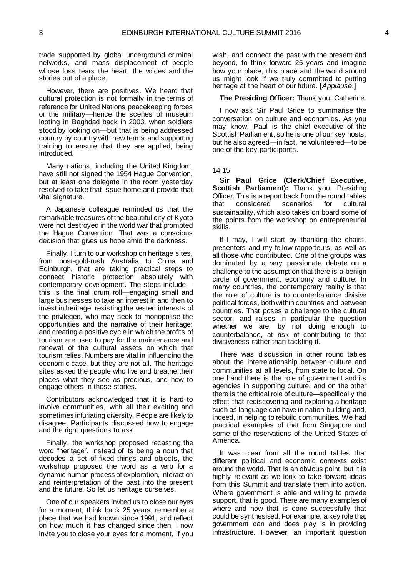trade supported by global underground criminal networks, and mass displacement of people whose loss tears the heart, the voices and the stories out of a place.

However, there are positives. We heard that cultural protection is not formally in the terms of reference for United Nations peacekeeping forces or the military—hence the scenes of museum looting in Baghdad back in 2003, when soldiers stood by looking on—but that is being addressed country by country with new terms, and supporting training to ensure that they are applied, being introduced.

Many nations, including the United Kingdom, have still not signed the 1954 Hague Convention, but at least one delegate in the room yesterday resolved to take that issue home and provide that vital signature.

A Japanese colleague reminded us that the remarkable treasures of the beautiful city of Kyoto were not destroyed in the world war that prompted the Hague Convention. That was a conscious decision that gives us hope amid the darkness.

Finally, I turn to our workshop on heritage sites, from post-gold-rush Australia to China and Edinburgh, that are taking practical steps to connect historic protection absolutely with contemporary development. The steps include this is the final drum roll—engaging small and large businesses to take an interest in and then to invest in heritage; resisting the vested interests of the privileged, who may seek to monopolise the opportunities and the narrative of their heritage; and creating a positive cycle in which the profits of tourism are used to pay for the maintenance and renewal of the cultural assets on which that tourism relies. Numbers are vital in influencing the economic case, but they are not all. The heritage sites asked the people who live and breathe their places what they see as precious, and how to engage others in those stories.

Contributors acknowledged that it is hard to involve communities, with all their exciting and sometimes infuriating diversity. People are likely to disagree. Participants discussed how to engage and the right questions to ask.

Finally, the workshop proposed recasting the word "heritage". Instead of its being a noun that decodes a set of fixed things and objects, the workshop proposed the word as a verb for a dynamic human process of exploration, interaction and reinterpretation of the past into the present and the future. So let us heritage ourselves.

One of our speakers invited us to close our eyes for a moment, think back 25 years, remember a place that we had known since 1991, and reflect on how much it has changed since then. I now invite you to close your eyes for a moment, if you wish, and connect the past with the present and beyond, to think forward 25 years and imagine how your place, this place and the world around us might look if we truly committed to putting heritage at the heart of our future. [*Applause*.]

#### **The Presiding Officer:** Thank you, Catherine.

I now ask Sir Paul Grice to summarise the conversation on culture and economics. As you may know, Paul is the chief executive of the Scottish Parliament, so he is one of our key hosts, but he also agreed—in fact, he volunteered—to be one of the key participants.

#### 14:15

<span id="page-3-0"></span>**Sir Paul Grice (Clerk/Chief Executive, Scottish Parliament):** Thank you, Presiding Officer. This is a report back from the round tables that considered scenarios for cultural sustainability, which also takes on board some of the points from the workshop on entrepreneurial skills.

If I may, I will start by thanking the chairs, presenters and my fellow rapporteurs, as well as all those who contributed. One of the groups was dominated by a very passionate debate on a challenge to the assumption that there is a benign circle of government, economy and culture. In many countries, the contemporary reality is that the role of culture is to counterbalance divisive political forces, both within countries and between countries. That poses a challenge to the cultural sector, and raises in particular the question whether we are, by not doing enough to counterbalance, at risk of contributing to that divisiveness rather than tackling it.

There was discussion in other round tables about the interrelationship between culture and communities at all levels, from state to local. On one hand there is the role of government and its agencies in supporting culture, and on the other there is the critical role of culture—specifically the effect that rediscovering and exploring a heritage such as language can have in nation building and, indeed, in helping to rebuild communities. We had practical examples of that from Singapore and some of the reservations of the United States of America.

It was clear from all the round tables that different political and economic contexts exist around the world. That is an obvious point, but it is highly relevant as we look to take forward ideas from this Summit and translate them into action. Where government is able and willing to provide support, that is good. There are many examples of where and how that is done successfully that could be synthesised. For example, a key role that government can and does play is in providing infrastructure. However, an important question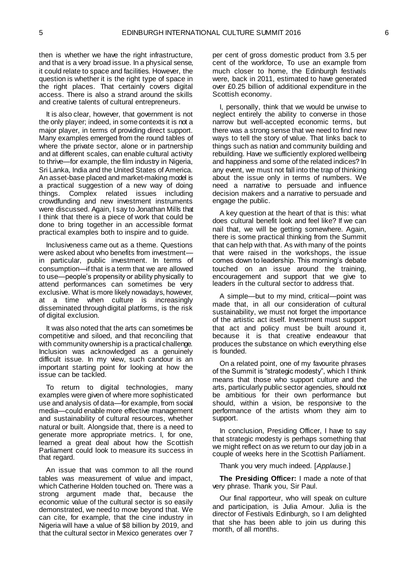then is whether we have the right infrastructure, and that is a very broad issue. In a physical sense, it could relate to space and facilities. However, the question is whether it is the right type of space in the right places. That certainly covers digital access. There is also a strand around the skills and creative talents of cultural entrepreneurs.

It is also clear, however, that government is not the only player; indeed, in some contexts it is not a major player, in terms of providing direct support. Many examples emerged from the round tables of where the private sector, alone or in partnership and at different scales, can enable cultural activity to thrive—for example, the film industry in Nigeria, Sri Lanka, India and the United States of America. An asset-base placed and market-making model is a practical suggestion of a new way of doing things. Complex related issues including crowdfunding and new investment instruments were discussed. Again, I say to Jonathan Mills that I think that there is a piece of work that could be done to bring together in an accessible format practical examples both to inspire and to guide.

Inclusiveness came out as a theme. Questions were asked about who benefits from investment in particular, public investment. In terms of consumption—if that is a term that we are allowed to use—people's propensity or ability physically to attend performances can sometimes be very exclusive. What is more likely nowadays, however, at a time when culture is increasingly disseminated through digital platforms, is the risk of digital exclusion.

It was also noted that the arts can sometimes be competitive and siloed, and that reconciling that with community ownership is a practical challenge. Inclusion was acknowledged as a genuinely difficult issue. In my view, such candour is an important starting point for looking at how the issue can be tackled.

To return to digital technologies, many examples were given of where more sophisticated use and analysis of data—for example, from social media—could enable more effective management and sustainability of cultural resources, whether natural or built. Alongside that, there is a need to generate more appropriate metrics. I, for one, learned a great deal about how the Scottish Parliament could look to measure its success in that regard.

An issue that was common to all the round tables was measurement of value and impact, which Catherine Holden touched on. There was a strong argument made that, because the economic value of the cultural sector is so easily demonstrated, we need to move beyond that. We can cite, for example, that the cine industry in Nigeria will have a value of \$8 billion by 2019, and that the cultural sector in Mexico generates over 7

per cent of gross domestic product from 3.5 per cent of the workforce, To use an example from much closer to home, the Edinburgh festivals were, back in 2011, estimated to have generated over £0.25 billion of additional expenditure in the Scottish economy.

I, personally, think that we would be unwise to neglect entirely the ability to converse in those narrow but well-accepted economic terms, but there was a strong sense that we need to find new ways to tell the story of value. That links back to things such as nation and community building and rebuilding. Have we sufficiently explored wellbeing and happiness and some of the related indices? In any event, we must not fall into the trap of thinking about the issue only in terms of numbers. We need a narrative to persuade and influence decision makers and a narrative to persuade and engage the public.

A key question at the heart of that is this: what does cultural benefit look and feel like? If we can nail that, we will be getting somewhere. Again, there is some practical thinking from the Summit that can help with that. As with many of the points that were raised in the workshops, the issue comes down to leadership. This morning's debate touched on an issue around the training, encouragement and support that we give to leaders in the cultural sector to address that.

A simple—but to my mind, critical—point was made that, in all our consideration of cultural sustainability, we must not forget the importance of the artistic act itself. Investment must support that act and policy must be built around it, because it is that creative endeavour that produces the substance on which everything else is founded.

On a related point, one of my favourite phrases of the Summit is "strategic modesty", which I think means that those who support culture and the arts, particularly public sector agencies, should not be ambitious for their own performance but should, within a vision, be responsive to the performance of the artists whom they aim to support.

In conclusion, Presiding Officer, I have to say that strategic modesty is perhaps something that we might reflect on as we return to our day job in a couple of weeks here in the Scottish Parliament.

Thank you very much indeed. [*Applause*.]

**The Presiding Officer:** I made a note of that very phrase. Thank you, Sir Paul.

Our final rapporteur, who will speak on culture and participation, is Julia Amour. Julia is the director of Festivals Edinburgh, so I am delighted that she has been able to join us during this month, of all months.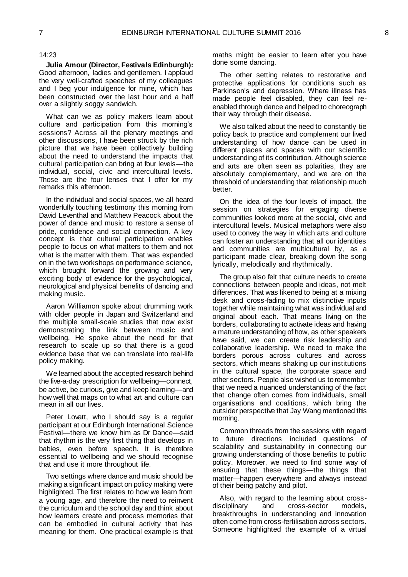#### 14:23

<span id="page-5-0"></span>**Julia Amour (Director, Festivals Edinburgh):**  Good afternoon, ladies and gentlemen. I applaud the very well-crafted speeches of my colleagues and I beg your indulgence for mine, which has been constructed over the last hour and a half over a slightly soggy sandwich.

What can we as policy makers learn about culture and participation from this morning's sessions? Across all the plenary meetings and other discussions, I have been struck by the rich picture that we have been collectively building about the need to understand the impacts that cultural participation can bring at four levels—the individual, social, civic and intercultural levels. Those are the four lenses that I offer for my remarks this afternoon.

In the individual and social spaces, we all heard wonderfully touching testimony this morning from David Leventhal and Matthew Peacock about the power of dance and music to restore a sense of pride, confidence and social connection. A key concept is that cultural participation enables people to focus on what matters to them and not what is the matter with them. That was expanded on in the two workshops on performance science, which brought forward the growing and very exciting body of evidence for the psychological, neurological and physical benefits of dancing and making music.

Aaron Williamon spoke about drumming work with older people in Japan and Switzerland and the multiple small-scale studies that now exist demonstrating the link between music and wellbeing. He spoke about the need for that research to scale up so that there is a good evidence base that we can translate into real-life policy making.

We learned about the accepted research behind the five-a-day prescription for wellbeing—connect, be active, be curious, give and keep learning—and how well that maps on to what art and culture can mean in all our lives.

Peter Lovatt, who I should say is a regular participant at our Edinburgh International Science Festival—there we know him as Dr Dance—said that rhythm is the very first thing that develops in babies, even before speech. It is therefore essential to wellbeing and we should recognise that and use it more throughout life.

Two settings where dance and music should be making a significant impact on policy making were highlighted. The first relates to how we learn from a young age, and therefore the need to reinvent the curriculum and the school day and think about how learners create and process memories that can be embodied in cultural activity that has meaning for them. One practical example is that

maths might be easier to learn after you have done some dancing.

The other setting relates to restorative and protective applications for conditions such as Parkinson's and depression. Where illness has made people feel disabled, they can feel reenabled through dance and helped to choreograph their way through their disease.

We also talked about the need to constantly tie policy back to practice and complement our lived understanding of how dance can be used in different places and spaces with our scientific understanding of its contribution. Although science and arts are often seen as polarities, they are absolutely complementary, and we are on the threshold of understanding that relationship much better.

On the idea of the four levels of impact, the session on strategies for engaging diverse communities looked more at the social, civic and intercultural levels. Musical metaphors were also used to convey the way in which arts and culture can foster an understanding that all our identities and communities are multicultural by, as a participant made clear, breaking down the song lyrically, melodically and rhythmically.

The group also felt that culture needs to create connections between people and ideas, not melt differences. That was likened to being at a mixing desk and cross-fading to mix distinctive inputs together while maintaining what was individual and original about each. That means living on the borders, collaborating to activate ideas and having a mature understanding of how, as other speakers have said, we can create risk leadership and collaborative leadership. We need to make the borders porous across cultures and across sectors, which means shaking up our institutions in the cultural space, the corporate space and other sectors. People also wished us to remember that we need a nuanced understanding of the fact that change often comes from individuals, small organisations and coalitions, which bring the outsider perspective that Jay Wang mentioned this morning.

Common threads from the sessions with regard to future directions included questions of scalability and sustainability in connecting our growing understanding of those benefits to public policy. Moreover, we need to find some way of ensuring that these things—the things that matter—happen everywhere and always instead of their being patchy and pilot.

Also, with regard to the learning about cross-<br>sciplinary and cross-sector models. disciplinary and cross-sector models, breakthroughs in understanding and innovation often come from cross-fertilisation across sectors. Someone highlighted the example of a virtual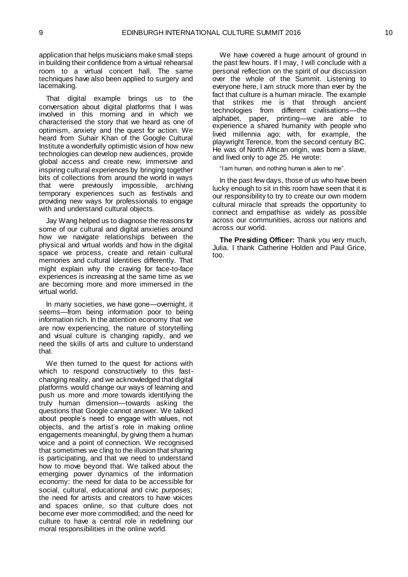application that helps musicians make small steps in building their confidence from a virtual rehearsal room to a virtual concert hall. The same techniques have also been applied to surgery and lacemaking.

That digital example brings us to the conversation about digital platforms that I was involved in this morning and in which we characterised the story that we heard as one of optimism, anxiety and the quest for action. We heard from Suhair Khan of the Google Cultural Institute a wonderfully optimistic vision of how new technologies can develop new audiences, provide global access and create new, immersive and inspiring cultural experiences by bringing together bits of collections from around the world in ways that were previously impossible, archiving temporary experiences such as festivals and providing new ways for professionals to engage with and understand cultural objects.

Jay Wang helped us to diagnose the reasons for some of our cultural and digital anxieties around how we navigate relationships between the physical and virtual worlds and how in the digital space we process, create and retain cultural memories and cultural identities differently. That might explain why the craving for face-to-face experiences is increasing at the same time as we are becoming more and more immersed in the virtual world.

In many societies, we have gone—overnight, it seems—from being information poor to being information rich. In the attention economy that we are now experiencing, the nature of storytelling and visual culture is changing rapidly, and we need the skills of arts and culture to understand that.

We then turned to the quest for actions with which to respond constructively to this fastchanging reality, and we acknowledged that digital platforms would change our ways of learning and push us more and more towards identifying the truly human dimension—towards asking the questions that Google cannot answer. We talked about people's need to engage with values, not objects, and the artist's role in making online engagements meaningful, by giving them a human voice and a point of connection. We recognised that sometimes we cling to the illusion that sharing is participating, and that we need to understand how to move beyond that. We talked about the emerging power dynamics of the information economy: the need for data to be accessible for social, cultural, educational and civic purposes; the need for artists and creators to have voices and spaces online, so that culture does not become ever more commodified; and the need for culture to have a central role in redefining our moral responsibilities in the online world.

We have covered a huge amount of ground in the past few hours. If I may, I will conclude with a personal reflection on the spirit of our discussion over the whole of the Summit. Listening to everyone here, I am struck more than ever by the fact that culture is a human miracle. The example that strikes me is that through ancient technologies from different civilisations—the alphabet, paper, printing—we are able to experience a shared humanity with people who lived millennia ago; with, for example, the playwright Terence, from the second century BC. He was of North African origin, was born a slave, and lived only to age 25. He wrote:

"I am human, and nothing human is alien to me".

In the past few days, those of us who have been lucky enough to sit in this room have seen that it is our responsibility to try to create our own modern cultural miracle that spreads the opportunity to connect and empathise as widely as possible across our communities, across our nations and across our world.

**The Presiding Officer:** Thank you very much, Julia. I thank Catherine Holden and Paul Grice, too.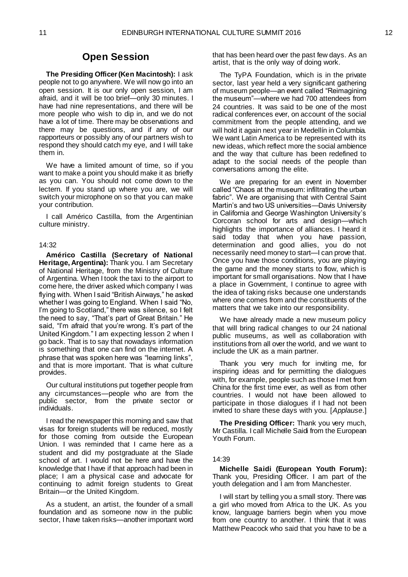## **Open Session**

<span id="page-7-0"></span>**The Presiding Officer (Ken Macintosh):** I ask people not to go anywhere. We will now go into an open session. It is our only open session, I am afraid, and it will be too brief—only 30 minutes. I have had nine representations, and there will be more people who wish to dip in, and we do not have a lot of time. There may be observations and there may be questions, and if any of our rapporteurs or possibly any of our partners wish to respond they should catch my eye, and I will take them in.

We have a limited amount of time, so if you want to make a point you should make it as briefly as you can. You should not come down to the lectern. If you stand up where you are, we will switch your microphone on so that you can make your contribution.

I call Américo Castilla, from the Argentinian culture ministry.

#### 14:32

<span id="page-7-1"></span>**Américo Castilla (Secretary of National Heritage, Argentina):** Thank you. I am Secretary of National Heritage, from the Ministry of Culture of Argentina. When I took the taxi to the airport to come here, the driver asked which company I was flying with. When I said "British Airways," he asked whether I was going to England. When I said "No, I'm going to Scotland," there was silence, so I felt the need to say, "That's part of Great Britain." He said, "I'm afraid that you're wrong. It's part of the United Kingdom." I am expecting lesson 2 when I go back. That is to say that nowadays information is something that one can find on the internet. A phrase that was spoken here was "learning links", and that is more important. That is what culture provides.

Our cultural institutions put together people from any circumstances—people who are from the public sector, from the private sector or individuals.

I read the newspaper this morning and saw that visas for foreign students will be reduced, mostly for those coming from outside the European Union. I was reminded that I came here as a student and did my postgraduate at the Slade school of art. I would not be here and have the knowledge that I have if that approach had been in place; I am a physical case and advocate for continuing to admit foreign students to Great Britain—or the United Kingdom.

As a student, an artist, the founder of a small foundation and as someone now in the public sector, I have taken risks—another important word that has been heard over the past few days. As an artist, that is the only way of doing work.

The TyPA Foundation, which is in the private sector, last year held a very significant gathering of museum people—an event called "Reimagining the museum"—where we had 700 attendees from 24 countries. It was said to be one of the most radical conferences ever, on account of the social commitment from the people attending, and we will hold it again next year in Medellín in Columbia. We want Latin America to be represented with its new ideas, which reflect more the social ambience and the way that culture has been redefined to adapt to the social needs of the people than conversations among the elite.

We are preparing for an event in November called "Chaos at the museum: infiltrating the urban fabric". We are organising that with Central Saint Martin's and two US universities—Davis University in California and George Washington University's Corcoran school for arts and design—which highlights the importance of alliances. I heard it said today that when you have passion, determination and good allies, you do not necessarily need money to start—I can prove that. Once you have those conditions, you are playing the game and the money starts to flow, which is important for small organisations. Now that I have a place in Government, I continue to agree with the idea of taking risks because one understands where one comes from and the constituents of the matters that we take into our responsibility.

We have already made a new museum policy that will bring radical changes to our 24 national public museums, as well as collaboration with institutions from all over the world, and we want to include the UK as a main partner.

Thank you very much for inviting me, for inspiring ideas and for permitting the dialogues with, for example, people such as those I met from China for the first time ever, as well as from other countries. I would not have been allowed to participate in those dialogues if I had not been invited to share these days with you. [*Applause*.]

**The Presiding Officer:** Thank you very much, Mr Castilla. I call Michelle Saidi from the European Youth Forum.

#### 14:39

<span id="page-7-2"></span>**Michelle Saidi (European Youth Forum):**  Thank you, Presiding Officer. I am part of the youth delegation and I am from Manchester.

I will start by telling you a small story. There was a girl who moved from Africa to the UK. As you know, language barriers begin when you move from one country to another. I think that it was Matthew Peacock who said that you have to be a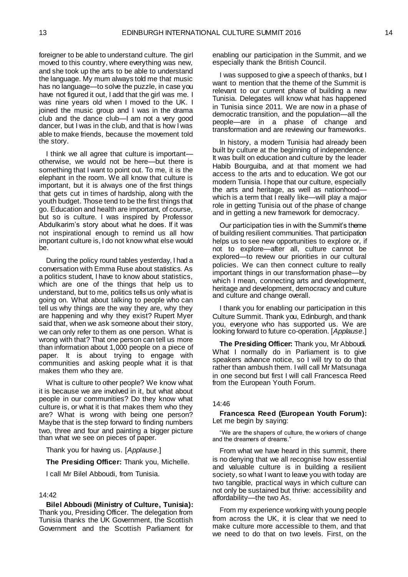foreigner to be able to understand culture. The girl moved to this country, where everything was new, and she took up the arts to be able to understand the language. My mum always told me that music has no language—to solve the puzzle, in case you have not figured it out, I add that the girl was me. I was nine years old when I moved to the UK. I joined the music group and I was in the drama club and the dance club—I am not a very good dancer, but I was in the club, and that is how I was able to make friends, because the movement told the story.

I think we all agree that culture is important otherwise, we would not be here—but there is something that I want to point out. To me, it is the elephant in the room. We all know that culture is important, but it is always one of the first things that gets cut in times of hardship, along with the youth budget. Those tend to be the first things that go. Education and health are important, of course, but so is culture. I was inspired by Professor Abdulkarim's story about what he does. If it was not inspirational enough to remind us all how important culture is, I do not know what else would be.

During the policy round tables yesterday, I had a conversation with Emma Ruse about statistics. As a politics student, I have to know about statistics, which are one of the things that help us to understand, but to me, politics tells us only what is going on. What about talking to people who can tell us why things are the way they are, why they are happening and why they exist? Rupert Myer said that, when we ask someone about their story, we can only refer to them as one person. What is wrong with that? That one person can tell us more than information about 1,000 people on a piece of paper. It is about trying to engage with communities and asking people what it is that makes them who they are.

What is culture to other people? We know what it is because we are involved in it, but what about people in our communities? Do they know what culture is, or what it is that makes them who they are? What is wrong with being one person? Maybe that is the step forward to finding numbers two, three and four and painting a bigger picture than what we see on pieces of paper.

Thank you for having us. [*Applause*.]

**The Presiding Officer:** Thank you, Michelle.

I call Mr Bilel Abboudi, from Tunisia.

#### 14:42

<span id="page-8-0"></span>**Bilel Abboudi (Ministry of Culture, Tunisia):**  Thank you, Presiding Officer. The delegation from Tunisia thanks the UK Government, the Scottish Government and the Scottish Parliament for

enabling our participation in the Summit, and we especially thank the British Council.

I was supposed to give a speech of thanks, but I want to mention that the theme of the Summit is relevant to our current phase of building a new Tunisia. Delegates will know what has happened in Tunisia since 2011. We are now in a phase of democratic transition, and the population—all the people—are in a phase of change and transformation and are reviewing our frameworks.

In history, a modern Tunisia had already been built by culture at the beginning of independence. It was built on education and culture by the leader Habib Bourguiba, and at that moment we had access to the arts and to education. We got our modern Tunisia. I hope that our culture, especially the arts and heritage, as well as nationhood which is a term that I really like—will play a major role in getting Tunisia out of the phase of change and in getting a new framework for democracy.

Our participation ties in with the Summit's theme of building resilient communities. That participation helps us to see new opportunities to explore or, if not to explore—after all, culture cannot be explored—to review our priorities in our cultural policies. We can then connect culture to really important things in our transformation phase—by which I mean, connecting arts and development, heritage and development, democracy and culture and culture and change overall.

I thank you for enabling our participation in this Culture Summit. Thank you, Edinburgh, and thank you, everyone who has supported us. We are looking forward to future co-operation. [*Applause*.]

**The Presiding Officer:** Thank you, Mr Abboudi. What I normally do in Parliament is to give speakers advance notice, so I will try to do that rather than ambush them. I will call Mr Matsunaga in one second but first I will call Francesca Reed from the European Youth Forum.

#### 14:46

<span id="page-8-1"></span>**Francesca Reed (European Youth Forum):**  Let me begin by saying:

"We are the shapers of culture, the w orkers of change and the dreamers of dreams."

From what we have heard in this summit, there is no denying that we all recognise how essential and valuable culture is in building a resilient society, so what I want to leave you with today are two tangible, practical ways in which culture can not only be sustained but thrive: accessibility and affordability—the two As.

From my experience working with young people from across the UK, it is clear that we need to make culture more accessible to them, and that we need to do that on two levels. First, on the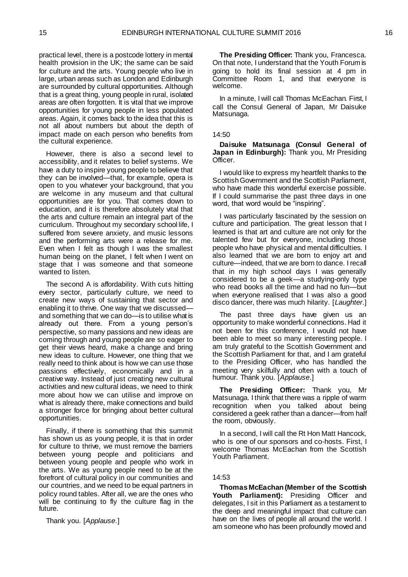practical level, there is a postcode lottery in mental health provision in the UK; the same can be said for culture and the arts. Young people who live in large, urban areas such as London and Edinburgh are surrounded by cultural opportunities. Although that is a great thing, young people in rural, isolated areas are often forgotten. It is vital that we improve opportunities for young people in less populated areas. Again, it comes back to the idea that this is not all about numbers but about the depth of impact made on each person who benefits from the cultural experience.

However, there is also a second level to accessibility, and it relates to belief systems. We have a duty to inspire young people to believe that they can be involved—that, for example, opera is open to you whatever your background, that you are welcome in any museum and that cultural opportunities are for you. That comes down to education, and it is therefore absolutely vital that the arts and culture remain an integral part of the curriculum. Throughout my secondary school life, I suffered from severe anxiety, and music lessons and the performing arts were a release for me. Even when I felt as though I was the smallest human being on the planet, I felt when I went on stage that I was someone and that someone wanted to listen.

The second A is affordability. With cuts hitting every sector, particularly culture, we need to create new ways of sustaining that sector and enabling it to thrive. One way that we discussed and something that we can do—is to utilise what is already out there. From a young person's perspective, so many passions and new ideas are coming through and young people are so eager to get their views heard, make a change and bring new ideas to culture. However, one thing that we really need to think about is how we can use those passions effectively, economically and in a creative way. Instead of just creating new cultural activities and new cultural ideas, we need to think more about how we can utilise and improve on what is already there, make connections and build a stronger force for bringing about better cultural opportunities.

Finally, if there is something that this summit has shown us as young people, it is that in order for culture to thrive, we must remove the barriers between young people and politicians and between young people and people who work in the arts. We as young people need to be at the forefront of cultural policy in our communities and our countries, and we need to be equal partners in policy round tables. After all, we are the ones who will be continuing to fly the culture flag in the future.

Thank you. [*Applause*.]

**The Presiding Officer:** Thank you, Francesca. On that note, I understand that the Youth Forum is going to hold its final session at 4 pm in Committee Room 1, and that everyone is welcome.

In a minute, I will call Thomas McEachan. First, I call the Consul General of Japan, Mr Daisuke Matsunaga.

#### 14:50

<span id="page-9-0"></span>**Daisuke Matsunaga (Consul General of Japan in Edinburgh):** Thank you, Mr Presiding Officer.

I would like to express my heartfelt thanks to the Scottish Government and the Scottish Parliament, who have made this wonderful exercise possible. If I could summarise the past three days in one word, that word would be "inspiring".

I was particularly fascinated by the session on culture and participation. The great lesson that I learned is that art and culture are not only for the talented few but for everyone, including those people who have physical and mental difficulties. I also learned that we are born to enjoy art and culture—indeed, that we are born to dance. I recall that in my high school days I was generally considered to be a geek—a studying-only type who read books all the time and had no fun—but when everyone realised that I was also a good disco dancer, there was much hilarity. [*Laughter*.]

The past three days have given us an opportunity to make wonderful connections. Had it not been for this conference, I would not have been able to meet so many interesting people. I am truly grateful to the Scottish Government and the Scottish Parliament for that, and I am grateful to the Presiding Officer, who has handled the meeting very skilfully and often with a touch of humour. Thank you. [*Applause*.]

**The Presiding Officer:** Thank you, Mr Matsunaga. I think that there was a ripple of warm recognition when you talked about being considered a geek rather than a dancer—from half the room, obviously.

In a second, I will call the Rt Hon Matt Hancock, who is one of our sponsors and co-hosts. First, I welcome Thomas McEachan from the Scottish Youth Parliament.

#### 14:53

<span id="page-9-1"></span>**Thomas McEachan (Member of the Scottish Youth Parliament):** Presiding Officer and delegates, I sit in this Parliament as a testament to the deep and meaningful impact that culture can have on the lives of people all around the world. I am someone who has been profoundly moved and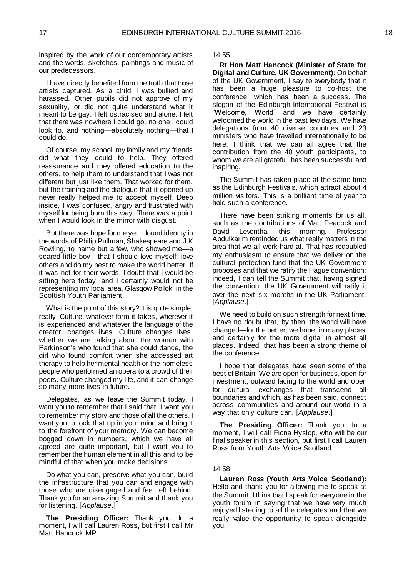inspired by the work of our contemporary artists and the words, sketches, paintings and music of our predecessors.

I have directly benefited from the truth that those artists captured. As a child, I was bullied and harassed. Other pupils did not approve of my sexuality, or did not quite understand what it meant to be gay. I felt ostracised and alone. I felt that there was nowhere I could go, no one I could look to, and nothing—absolutely nothing—that I could do.

Of course, my school, my family and my friends did what they could to help. They offered reassurance and they offered education to the others, to help them to understand that I was not different but just like them. That worked for them, but the training and the dialogue that it opened up never really helped me to accept myself. Deep inside, I was confused, angry and frustrated with myself for being born this way. There was a point when I would look in the mirror with disgust.

But there was hope for me yet. I found identity in the words of Philip Pullman, Shakespeare and J K Rowling, to name but a few, who showed me—a scared little boy—that I should love myself, love others and do my best to make the world better. If it was not for their words, I doubt that I would be sitting here today, and I certainly would not be representing my local area, Glasgow Pollok, in the Scottish Youth Parliament.

What is the point of this story? It is quite simple, really. Culture, whatever form it takes, wherever it is experienced and whatever the language of the creator, changes lives. Culture changes lives, whether we are talking about the woman with Parkinson's who found that she could dance, the girl who found comfort when she accessed art therapy to help her mental health or the homeless people who performed an opera to a crowd of their peers. Culture changed my life, and it can change so many more lives in future.

Delegates, as we leave the Summit today, I want you to remember that I said that. I want you to remember my story and those of all the others. I want you to lock that up in your mind and bring it to the forefront of your memory. We can become bogged down in numbers, which we have all agreed are quite important, but I want you to remember the human element in all this and to be mindful of that when you make decisions.

Do what you can, preserve what you can, build the infrastructure that you can and engage with those who are disengaged and feel left behind. Thank you for an amazing Summit and thank you for listening. [*Applause*.]

**The Presiding Officer:** Thank you. In a moment, I will call Lauren Ross, but first I call Mr Matt Hancock MP.

14:55

<span id="page-10-0"></span>**Rt Hon Matt Hancock (Minister of State for Digital and Culture, UK Government):** On behalf of the UK Government, I say to everybody that it has been a huge pleasure to co-host the conference, which has been a success. The slogan of the Edinburgh International Festival is "Welcome, World" and we have certainly welcomed the world in the past few days. We have delegations from 40 diverse countries and 23 ministers who have travelled internationally to be here. I think that we can all agree that the contribution from the 40 youth participants, to whom we are all grateful, has been successful and inspiring.

The Summit has taken place at the same time as the Edinburgh Festivals, which attract about 4 million visitors. This is a brilliant time of year to hold such a conference.

There have been striking moments for us all, such as the contributions of Matt Peacock and David Leventhal this morning. Professor Abdulkarim reminded us what really matters in the area that we all work hard at. That has redoubled my enthusiasm to ensure that we deliver on the cultural protection fund that the UK Government proposes and that we ratify the Hague convention; indeed, I can tell the Summit that, having signed the convention, the UK Government will ratify it over the next six months in the UK Parliament. [*Applause*.]

We need to build on such strength for next time. I have no doubt that, by then, the world will have changed—for the better, we hope, in many places, and certainly for the more digital in almost all places. Indeed, that has been a strong theme of the conference.

I hope that delegates have seen some of the best of Britain. We are open for business, open for investment, outward facing to the world and open for cultural exchanges that transcend all boundaries and which, as has been said, connect across communities and around our world in a way that only culture can. [*Applause*.]

**The Presiding Officer:** Thank you. In a moment, I will call Fiona Hyslop, who will be our final speaker in this section, but first I call Lauren Ross from Youth Arts Voice Scotland.

#### 14:58

<span id="page-10-1"></span>**Lauren Ross (Youth Arts Voice Scotland):**  Hello and thank you for allowing me to speak at the Summit. I think that I speak for everyone in the youth forum in saying that we have very much enjoyed listening to all the delegates and that we really value the opportunity to speak alongside you.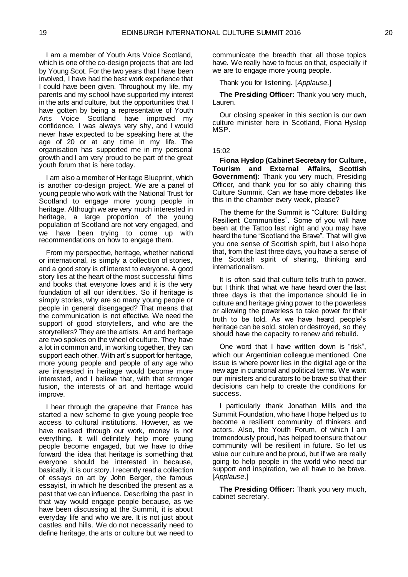I am a member of Youth Arts Voice Scotland, which is one of the co-design projects that are led by Young Scot. For the two years that I have been involved, I have had the best work experience that I could have been given. Throughout my life, my parents and my school have supported my interest in the arts and culture, but the opportunities that I have gotten by being a representative of Youth Arts Voice Scotland have improved my confidence. I was always very shy, and I would never have expected to be speaking here at the age of 20 or at any time in my life. The organisation has supported me in my personal growth and I am very proud to be part of the great youth forum that is here today.

I am also a member of Heritage Blueprint, which is another co-design project. We are a panel of young people who work with the National Trust for Scotland to engage more young people in heritage. Although we are very much interested in heritage, a large proportion of the young population of Scotland are not very engaged, and we have been trying to come up with recommendations on how to engage them.

From my perspective, heritage, whether national or international, is simply a collection of stories, and a good story is of interest to everyone. A good story lies at the heart of the most successful films and books that everyone loves and it is the very foundation of all our identities. So if heritage is simply stories, why are so many young people or people in general disengaged? That means that the communication is not effective. We need the support of good storytellers, and who are the storytellers? They are the artists. Art and heritage are two spokes on the wheel of culture. They have a lot in common and, in working together, they can support each other. With art's support for heritage, more young people and people of any age who are interested in heritage would become more interested, and I believe that, with that stronger fusion, the interests of art and heritage would improve.

I hear through the grapevine that France has started a new scheme to give young people free access to cultural institutions. However, as we have realised through our work, money is not everything. It will definitely help more young people become engaged, but we have to drive forward the idea that heritage is something that everyone should be interested in because, basically, it is our story. I recently read a collection of essays on art by John Berger, the famous essayist, in which he described the present as a past that we can influence. Describing the past in that way would engage people because, as we have been discussing at the Summit, it is about everyday life and who we are. It is not just about castles and hills. We do not necessarily need to define heritage, the arts or culture but we need to

communicate the breadth that all those topics have. We really have to focus on that, especially if we are to engage more young people.

Thank you for listening. [*Applause*.]

**The Presiding Officer:** Thank you very much, Lauren.

Our closing speaker in this section is our own culture minister here in Scotland, Fiona Hyslop MSP.

#### 15:02

<span id="page-11-0"></span>**Fiona Hyslop (Cabinet Secretary for Culture, Tourism and External Affairs, Scottish Government):** Thank you very much, Presiding Officer, and thank you for so ably chairing this Culture Summit. Can we have more debates like this in the chamber every week, please?

The theme for the Summit is "Culture: Building Resilient Communities". Some of you will have been at the Tattoo last night and you may have heard the tune "Scotland the Brave". That will give you one sense of Scottish spirit, but I also hope that, from the last three days, you have a sense of the Scottish spirit of sharing, thinking and internationalism.

It is often said that culture tells truth to power, but I think that what we have heard over the last three days is that the importance should lie in culture and heritage giving power to the powerless or allowing the powerless to take power for their truth to be told. As we have heard, people's heritage can be sold, stolen or destroyed, so they should have the capacity to renew and rebuild.

One word that I have written down is "risk", which our Argentinian colleague mentioned. One issue is where power lies in the digital age or the new age in curatorial and political terms. We want our ministers and curators to be brave so that their decisions can help to create the conditions for success.

I particularly thank Jonathan Mills and the Summit Foundation, who have I hope helped us to become a resilient community of thinkers and actors. Also, the Youth Forum, of which I am tremendously proud, has helped to ensure that our community will be resilient in future. So let us value our culture and be proud, but if we are really going to help people in the world who need our support and inspiration, we all have to be brave. [*Applause*.]

**The Presiding Officer:** Thank you very much, cabinet secretary.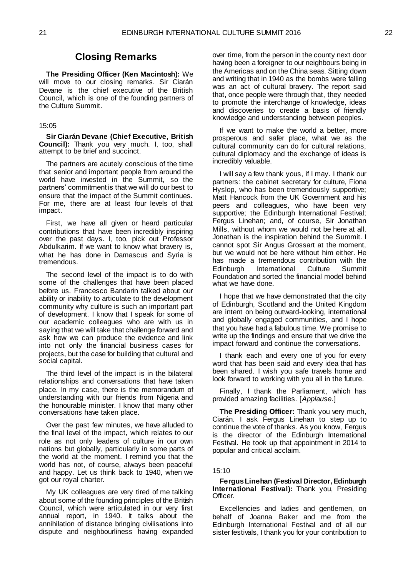### **Closing Remarks**

<span id="page-12-0"></span>**The Presiding Officer (Ken Macintosh):** We will move to our closing remarks. Sir Ciarán Devane is the chief executive of the British Council, which is one of the founding partners of the Culture Summit.

#### 15:05

<span id="page-12-1"></span>**Sir Ciarán Devane (Chief Executive, British Council):** Thank you very much. I, too, shall attempt to be brief and succinct.

The partners are acutely conscious of the time that senior and important people from around the world have invested in the Summit, so the partners' commitment is that we will do our best to ensure that the impact of the Summit continues. For me, there are at least four levels of that impact.

First, we have all given or heard particular contributions that have been incredibly inspiring over the past days. I, too, pick out Professor Abdulkarim. If we want to know what bravery is, what he has done in Damascus and Syria is tremendous.

The second level of the impact is to do with some of the challenges that have been placed before us. Francesco Bandarin talked about our ability or inability to articulate to the development community why culture is such an important part of development. I know that I speak for some of our academic colleagues who are with us in saying that we will take that challenge forward and ask how we can produce the evidence and link into not only the financial business cases for projects, but the case for building that cultural and social capital.

The third level of the impact is in the bilateral relationships and conversations that have taken place. In my case, there is the memorandum of understanding with our friends from Nigeria and the honourable minister. I know that many other conversations have taken place.

Over the past few minutes, we have alluded to the final level of the impact, which relates to our role as not only leaders of culture in our own nations but globally, particularly in some parts of the world at the moment. I remind you that the world has not, of course, always been peaceful and happy. Let us think back to 1940, when we got our royal charter.

My UK colleagues are very tired of me talking about some of the founding principles of the British Council, which were articulated in our very first annual report, in 1940. It talks about the annihilation of distance bringing civilisations into dispute and neighbourliness having expanded

over time, from the person in the county next door having been a foreigner to our neighbours being in the Americas and on the China seas. Sitting down and writing that in 1940 as the bombs were falling was an act of cultural bravery. The report said that, once people were through that, they needed to promote the interchange of knowledge, ideas and discoveries to create a basis of friendly knowledge and understanding between peoples.

If we want to make the world a better, more prosperous and safer place, what we as the cultural community can do for cultural relations, cultural diplomacy and the exchange of ideas is incredibly valuable.

I will say a few thank yous, if I may. I thank our partners: the cabinet secretary for culture, Fiona Hyslop, who has been tremendously supportive; Matt Hancock from the UK Government and his peers and colleagues, who have been very supportive; the Edinburgh International Festival; Fergus Linehan; and, of course, Sir Jonathan Mills, without whom we would not be here at all. Jonathan is the inspiration behind the Summit. I cannot spot Sir Angus Grossart at the moment, but we would not be here without him either. He has made a tremendous contribution with the Edinburgh International Culture Summit Foundation and sorted the financial model behind what we have done.

I hope that we have demonstrated that the city of Edinburgh, Scotland and the United Kingdom are intent on being outward-looking, international and globally engaged communities, and I hope that you have had a fabulous time. We promise to write up the findings and ensure that we drive the impact forward and continue the conversations.

I thank each and every one of you for every word that has been said and every idea that has been shared. I wish you safe travels home and look forward to working with you all in the future.

Finally, I thank the Parliament, which has provided amazing facilities. [*Applause*.]

**The Presiding Officer:** Thank you very much, Ciarán. I ask Fergus Linehan to step up to continue the vote of thanks. As you know, Fergus is the director of the Edinburgh International Festival. He took up that appointment in 2014 to popular and critical acclaim.

#### 15:10

#### <span id="page-12-2"></span>**Fergus Linehan (Festival Director, Edinburgh International Festival):** Thank you, Presiding Officer.

Excellencies and ladies and gentlemen, on behalf of Joanna Baker and me from the Edinburgh International Festival and of all our sister festivals, I thank you for your contribution to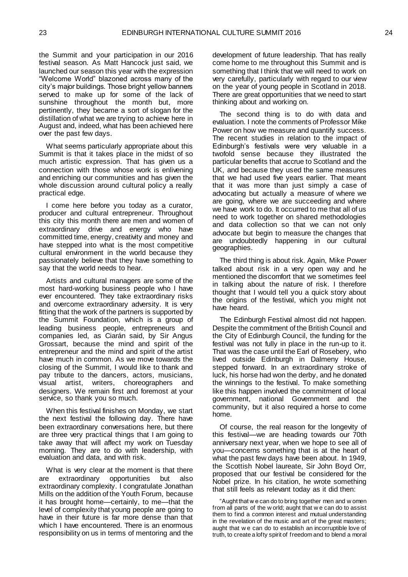the Summit and your participation in our 2016 festival season. As Matt Hancock just said, we launched our season this year with the expression "Welcome World" blazoned across many of the city's major buildings. Those bright yellow banners served to make up for some of the lack of sunshine throughout the month but, more pertinently, they became a sort of slogan for the distillation of what we are trying to achieve here in August and, indeed, what has been achieved here over the past few days.

What seems particularly appropriate about this Summit is that it takes place in the midst of so much artistic expression. That has given us a connection with those whose work is enlivening and enriching our communities and has given the whole discussion around cultural policy a really practical edge.

I come here before you today as a curator, producer and cultural entrepreneur. Throughout this city this month there are men and women of extraordinary drive and energy who have committed time, energy, creativity and money and have stepped into what is the most competitive cultural environment in the world because they passionately believe that they have something to say that the world needs to hear.

Artists and cultural managers are some of the most hard-working business people who I have ever encountered. They take extraordinary risks and overcome extraordinary adversity. It is very fitting that the work of the partners is supported by the Summit Foundation, which is a group of leading business people, entrepreneurs and companies led, as Ciarán said, by Sir Angus Grossart, because the mind and spirit of the entrepreneur and the mind and spirit of the artist have much in common. As we move towards the closing of the Summit, I would like to thank and pay tribute to the dancers, actors, musicians, visual artist, writers, choreographers and designers. We remain first and foremost at your service, so thank you so much.

When this festival finishes on Monday, we start the next festival the following day. There have been extraordinary conversations here, but there are three very practical things that I am going to take away that will affect my work on Tuesday morning. They are to do with leadership, with evaluation and data, and with risk.

What is very clear at the moment is that there are extraordinary opportunities but also extraordinary complexity. I congratulate Jonathan Mills on the addition of the Youth Forum, because it has brought home—certainly, to me—that the level of complexity that young people are going to have in their future is far more dense than that which I have encountered. There is an enormous responsibility on us in terms of mentoring and the

development of future leadership. That has really come home to me throughout this Summit and is something that I think that we will need to work on very carefully, particularly with regard to our view on the year of young people in Scotland in 2018. There are great opportunities that we need to start thinking about and working on.

The second thing is to do with data and evaluation. I note the comments of Professor Mike Power on how we measure and quantify success. The recent studies in relation to the impact of Edinburgh's festivals were very valuable in a twofold sense because they illustrated the particular benefits that accrue to Scotland and the UK, and because they used the same measures that we had used five years earlier. That meant that it was more than just simply a case of advocating but actually a measure of where we are going, where we are succeeding and where we have work to do. It occurred to me that all of us need to work together on shared methodologies and data collection so that we can not only advocate but begin to measure the changes that are undoubtedly happening in our cultural geographies.

The third thing is about risk. Again, Mike Power talked about risk in a very open way and he mentioned the discomfort that we sometimes feel in talking about the nature of risk. I therefore thought that I would tell you a quick story about the origins of the festival, which you might not have heard.

The Edinburgh Festival almost did not happen. Despite the commitment of the British Council and the City of Edinburgh Council, the funding for the festival was not fully in place in the run-up to it. That was the case until the Earl of Rosebery, who lived outside Edinburgh in Dalmeny House, stepped forward. In an extraordinary stroke of luck, his horse had won the derby, and he donated the winnings to the festival. To make something like this happen involved the commitment of local government, national Government and the community, but it also required a horse to come home.

Of course, the real reason for the longevity of this festival—we are heading towards our 70th anniversary next year, when we hope to see all of you—concerns something that is at the heart of what the past few days have been about. In 1949, the Scottish Nobel laureate, Sir John Boyd Orr, proposed that our festival be considered for the Nobel prize. In his citation, he wrote something that still feels as relevant today as it did then:

"Aught that w e can do to bring together men and w omen from all parts of the w orld; aught that w e can do to assist them to find a common interest and mutual understanding in the revelation of the music and art of the great masters; aught that w e can do to establish an incorruptible love of truth, to create a lofty spirit of freedom and to blend a moral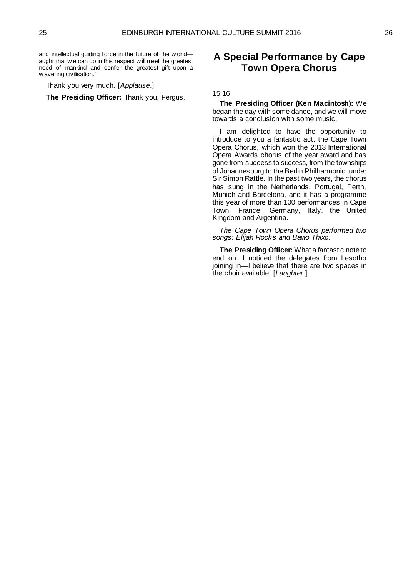and intellectual guiding force in the future of the w orld aught that w e can do in this respect w ill meet the greatest need of mankind and confer the greatest gift upon a w avering civilisation."

Thank you very much. [*Applause*.]

**The Presiding Officer:** Thank you, Fergus.

## <span id="page-14-0"></span>**A Special Performance by Cape Town Opera Chorus**

#### 15:16

**The Presiding Officer (Ken Macintosh):** We began the day with some dance, and we will move towards a conclusion with some music.

I am delighted to have the opportunity to introduce to you a fantastic act: the Cape Town Opera Chorus, which won the 2013 International Opera Awards chorus of the year award and has gone from success to success, from the townships of Johannesburg to the Berlin Philharmonic, under Sir Simon Rattle. In the past two years, the chorus has sung in the Netherlands, Portugal, Perth, Munich and Barcelona, and it has a programme this year of more than 100 performances in Cape Town, France, Germany, Italy, the United Kingdom and Argentina.

*The Cape Town Opera Chorus performed two songs: Elijah Rocks and Bawo Thixo.* 

**The Presiding Officer:** What a fantastic note to end on. I noticed the delegates from Lesotho joining in—I believe that there are two spaces in the choir available. [*Laughter*.]